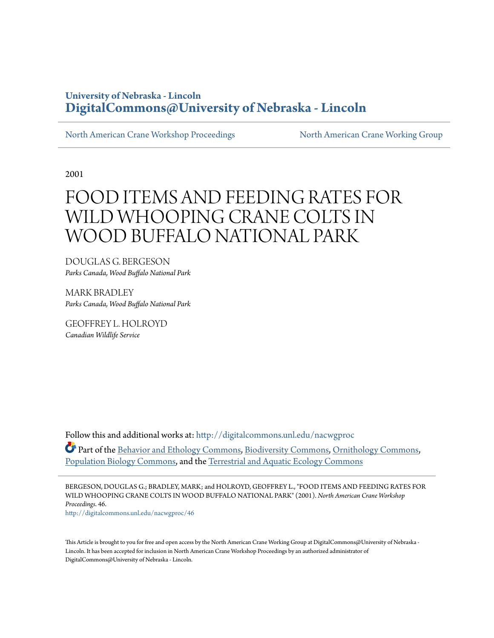## **University of Nebraska - Lincoln [DigitalCommons@University of Nebraska - Lincoln](http://digitalcommons.unl.edu?utm_source=digitalcommons.unl.edu%2Fnacwgproc%2F46&utm_medium=PDF&utm_campaign=PDFCoverPages)**

[North American Crane Workshop Proceedings](http://digitalcommons.unl.edu/nacwgproc?utm_source=digitalcommons.unl.edu%2Fnacwgproc%2F46&utm_medium=PDF&utm_campaign=PDFCoverPages) [North American Crane Working Group](http://digitalcommons.unl.edu/nacwg?utm_source=digitalcommons.unl.edu%2Fnacwgproc%2F46&utm_medium=PDF&utm_campaign=PDFCoverPages)

2001

# FOOD ITEMS AND FEEDING RATES FOR WILD WHOOPING CRANE COLTS IN WOOD BUFFALO NATIONAL PARK

DOUGLAS G. BERGESON *Parks Canada, Wood Buffalo National Park*

MARK BRADLEY *Parks Canada, Wood Buffalo National Park*

GEOFFREY L. HOLROYD *Canadian Wildlife Service*

Follow this and additional works at: [http://digitalcommons.unl.edu/nacwgproc](http://digitalcommons.unl.edu/nacwgproc?utm_source=digitalcommons.unl.edu%2Fnacwgproc%2F46&utm_medium=PDF&utm_campaign=PDFCoverPages) Part of the [Behavior and Ethology Commons,](http://network.bepress.com/hgg/discipline/15?utm_source=digitalcommons.unl.edu%2Fnacwgproc%2F46&utm_medium=PDF&utm_campaign=PDFCoverPages) [Biodiversity Commons,](http://network.bepress.com/hgg/discipline/1127?utm_source=digitalcommons.unl.edu%2Fnacwgproc%2F46&utm_medium=PDF&utm_campaign=PDFCoverPages) [Ornithology Commons](http://network.bepress.com/hgg/discipline/1190?utm_source=digitalcommons.unl.edu%2Fnacwgproc%2F46&utm_medium=PDF&utm_campaign=PDFCoverPages), [Population Biology Commons,](http://network.bepress.com/hgg/discipline/19?utm_source=digitalcommons.unl.edu%2Fnacwgproc%2F46&utm_medium=PDF&utm_campaign=PDFCoverPages) and the [Terrestrial and Aquatic Ecology Commons](http://network.bepress.com/hgg/discipline/20?utm_source=digitalcommons.unl.edu%2Fnacwgproc%2F46&utm_medium=PDF&utm_campaign=PDFCoverPages)

BERGESON, DOUGLAS G.; BRADLEY, MARK; and HOLROYD, GEOFFREY L., "FOOD ITEMS AND FEEDING RATES FOR WILD WHOOPING CRANE COLTS IN WOOD BUFFALO NATIONAL PARK" (2001). *North American Crane Workshop Proceedings*. 46. [http://digitalcommons.unl.edu/nacwgproc/46](http://digitalcommons.unl.edu/nacwgproc/46?utm_source=digitalcommons.unl.edu%2Fnacwgproc%2F46&utm_medium=PDF&utm_campaign=PDFCoverPages)

This Article is brought to you for free and open access by the North American Crane Working Group at DigitalCommons@University of Nebraska -Lincoln. It has been accepted for inclusion in North American Crane Workshop Proceedings by an authorized administrator of DigitalCommons@University of Nebraska - Lincoln.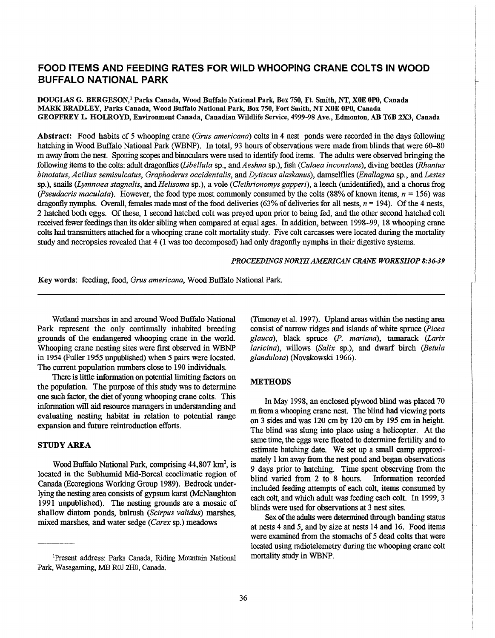### **FOOD ITEMS AND FEEDING RATES FOR WILD WHOOPING CRANE COLTS IN WOOD BUFFALO NATIONAL PARK**

DOUGLAS G. BERGESON/ Parks Canada, Wood Buffalo National Park, Box 750, Ft. Smith, NT, XOE OPO, Canada MARK BRADLEY, Parks Canada, Wood Buffalo National Park, Box 750, Fort Smith, NT XOE OPO, Canada GEOFFREY L HOLROYD, Environment Canada, Canadian Wildlife Service, 4999-98 Ave., Edmonton, AB T6B 2X3, Canada

Abstract: Food habits of 5 whooping crane *(Orus americana)* colts in 4 nest ponds were recorded in the days following hatching in Wood Buffalo National Park (WBNP). In total, 93 hours of observations were made from blinds that were 60-80 m away from the nest. Spotting scopes and binoculars were used to identify food items. The adults were observed bringing the following items to the colts: adult dragonflies *(Libe/lula* sp., and *Aeshna* sp.), fish *(Culaea inconstans),* diving beetles *(Rhantus binotatus, Acilius semisulcatus, Graphoderus occidentalis, and Dytiscus alaskanus), damselflies (Enallagma sp., and Lestes* sp.), snails *(Lymnaea stagnalis,* and *Helisoma* sp.), a vole *(Clethrionomys gapped),* a leech (unidentified), and a chorus frog *(Pseudacris maculata).* However, the food type most commonly consumed by the colts (88% of known items, *n* = 156) was dragonfly nymphs. Overall, females made most of the food deliveries (63% of deliveries for all nests, *n* = 194). Of the 4 nests, 2 hatched both eggs. Of these, 1 second hatched colt was preyed upon prior to being fed, and the other second hatched colt received fewer feedings than its older sibling when compared at equal ages. In addition, between 1998-99, 18 whooping crane colts had transmitters attached for a whooping crane colt mortality study. Five colt carcasses were located during the mortality study and necropsies revealed that 4 (1 was too decomposed) had only dragonfly nymphs in their digestive systems.

#### *PROCEEDINGS NORTH AMERICAN CRANE WORKSHOP 8:36-39*

Key words: feeding, food, *Orus americana,* Wood Buffalo National Park.

Wetland marshes in and around Wood Buffalo National Park represent the only continually inhabited breeding grounds of the endangered whooping crane in the world. Whooping crane nesting sites were first observed in WBNP in 1954 (Fuller 1955 unpublished) when 5 pairs were located. The current population numbers close to 190 individuals.

There is little information on potential limiting factors on the population. The purpose of this study was to determine one such factor, the diet of young whooping crane colts. This information will aid resource managers in understanding and evaluating nesting habitat in relation to potential range expansion and future reintroduction efforts.

#### STUDY AREA

Wood Buffalo National Park, comprising 44,807 km<sup>2</sup>, is located in the Subhumid Mid-Boreal ecoclimatic region of Canada (Ecoregions Working Group 1989). Bedrock underlying the nesting area consists of gypsum karst (McNaughton 1991 unpublished). The nesting grounds are a mosaic of shallow diatom ponds, bulrush *(Scirpus validus)* marshes, mixed marshes, and water sedge *(Carex* sp.) meadows

(Timoney et al. 1997). Upland areas within the nesting area consist of narrow ridges and islands of white spruce *(Picea glauca)*, black spruce *(P. mariana),* tamarack *(Larix laricina),* willows *(Salix* sp.), and dwarf birch *(Betula glandulosa)* (Novakowski 1966).

#### **METHODS**

In May 1998, an enclosed plywood blind was placed 70 m from a whooping crane nest. The blind had viewing ports on 3 sides and was 120 cm by 120 cm by 195 cm in height. The blind was slung into place using a helicopter. At the same time, the eggs were floated to determine fertility and to estimate hatching date. We set up a small camp approximately 1 km away from the nest pond and began observations 9 days prior to hatching. Time spent observing from the blind varied from 2 to 8 hours. Information recorded included feeding attempts of each colt, items consumed by each colt, and which adult was feeding each colt. In 1999, 3 blinds were used for observations at 3 nest sites.

Sex of the adults were determined through banding status at nests 4 and 5, and by size at nests 14 and 16. Food items were examined from the stomachs of 5 dead colts that were located using radiotelemetry during the whooping crane colt mortality study in WBNP.

lPresent address: Parks Canada, Riding Mountain National Park, Wasagaming, ME ROJ 2HO, Canada.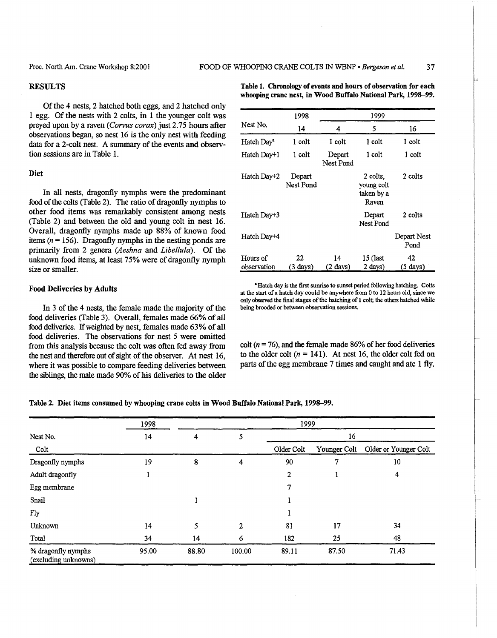#### RESULTS

Of the 4 nests, 2 hatched both eggs, and 2 hatched only I egg. Of the nests with 2 colts, in 1 the younger colt was preyed upon by a raven (Corvus corax) just 2.75 hours after observations began, so nest 16 is the only nest with feeding data for a 2-colt nest. A summary of the events and observtion sessions are in Table 1.

#### Diet

In all nests, dragonfly nymphs were the predominant food of the colts (Table 2). The ratio of dragonfly nymphs to other food items was remarkably consistent among nests (Table 2) and between the old and young colt in nest 16. Overall, dragonfly nymphs made up 88% of known food items ( $n = 156$ ). Dragonfly nymphs in the nesting ponds are primarily from 2 genera *(Aeshna* and *Libel/ula).* Of the unknown food items, at least 75% were of dragonfly nymph size or smaller.

#### Food Deliveries by Adults

In 3 of the 4 nests, the female made the majority of the food deliveries (Table 3). Overall, females made 66% of all food deliveries. If weighted by nest, females made 63% of all food deliveries. The observations for nest 5 were omitted from this analysis because the colt was often fed away from the nest and therefore out of sight of the observer. At nest 16, where it was possible to compare feeding deliveries between the siblings, the male made 90% of his deliveries to the older

Table 1. Chronology of events and hours of observation for each whooping crane nest, in Wood Buffalo National Park, 1998-99.

|                         | 1998                       | 1999                |                                               |                          |  |  |
|-------------------------|----------------------------|---------------------|-----------------------------------------------|--------------------------|--|--|
| Nest No.                | 14                         | 4                   | 5                                             | 16                       |  |  |
| Hatch Day <sup>a</sup>  | 1 colt                     | 1 colt              | 1 colt                                        | 1 colt                   |  |  |
| Hatch Day+1             | 1 colt                     | Depart<br>Nest Pond | 1 colt                                        | 1 colt                   |  |  |
| Hatch Day+2             | Depart<br><b>Nest Pond</b> |                     | 2 colts.<br>young colt<br>taken by a<br>Raven | 2 colts                  |  |  |
| Hatch Day+3             |                            |                     | Depart<br>Nest Pond                           | 2 colts                  |  |  |
| Hatch Day+4             |                            |                     |                                               | Depart Nest<br>Pond      |  |  |
| Hours of<br>observation | 22<br>$(3 \text{ days})$   | 14<br>(2 days)      | 15 (last<br>2 days)                           | 42<br>$(5 \text{ days})$ |  |  |

• Hatch day is the first sunrise to sunset period following hatching. Colts at the start of a hatch day could be anywhere from 0 to 12 hours old, since we only observed the final stages of the hatching of 1 colt; the others hatched while being brooded or between observation sessions.

colt ( $n = 76$ ), and the female made 86% of her food deliveries to the older colt  $(n = 141)$ . At nest 16, the older colt fed on parts of the egg membrane 7 times and caught and ate 1 fly.

Table 2. Diet items consumed by whooping crane colts in Wood Buffalo National Park, 1998-99.

|                                            | 1998  |       |        | 1999       |              |                       |
|--------------------------------------------|-------|-------|--------|------------|--------------|-----------------------|
| Nest No.<br>Colt                           | 14    | 4     |        | 16         |              |                       |
|                                            |       |       |        | Older Colt | Younger Colt | Older or Younger Colt |
| Dragonfly nymphs                           | 19    | 8     | 4      | 90         | 7            | 10                    |
| Adult dragonfly                            |       |       |        | 2          |              | 4                     |
| Egg membrane                               |       |       |        | 7          |              |                       |
| Snail                                      |       |       |        |            |              |                       |
| Fly                                        |       |       |        |            |              |                       |
| Unknown                                    | 14    | 5     | 2      | 81         | 17           | 34                    |
| Total                                      | 34    | 14    | 6      | 182        | 25           | 48                    |
| % dragonfly nymphs<br>(excluding unknowns) | 95.00 | 88.80 | 100.00 | 89.11      | 87.50        | 71.43                 |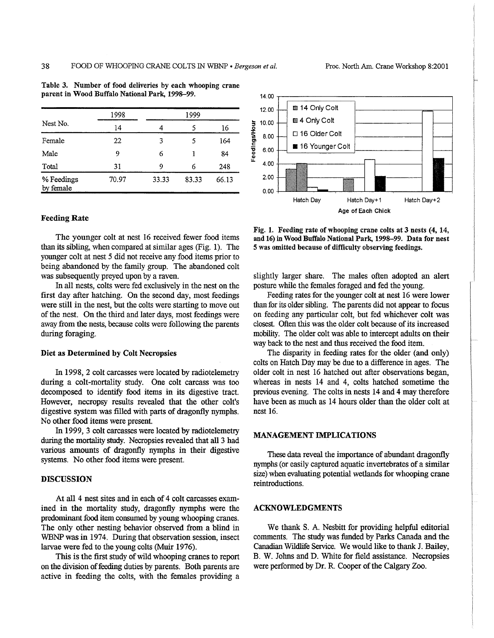|                         | 1998  | 1999  |       |       |  |
|-------------------------|-------|-------|-------|-------|--|
| Nest No.                | 14    | 4     |       | 16    |  |
| Female                  | 22    | 3     | 5     | 164   |  |
| Male                    | 9     | 6     |       | 84    |  |
| Total                   | 31    | 9     | 6     | 248   |  |
| % Feedings<br>by female | 70.97 | 33.33 | 83.33 | 66.13 |  |

Table 3. Number of food deliveries by each whooping crane parent in Wood Buffalo National Park, 1998-99.

#### Feeding Rate

The younger colt at nest 16 received fewer food items than its sibling, when compared at similar ages (Fig. 1). The younger colt at nest 5 did not receive any food items prior to being abandoned by the family group. The abandoned colt was subsequently preyed upon by a raven.

In all nests, colts were fed exclusively in the nest on the first day after hatching. On the second day, most feedings were still in the nest, but the colts were starting to move out of the nest. On the third and later days, most feedings were away from the nests, because colts were following the parents during foraging.

#### Diet as Determined by Colt Necropsies

In 1998, 2 colt carcasses were located by radiotelemetry during a colt-mortality study. One colt carcass was too decomposed to identify food items in its digestive tract. However, necropsy results revealed that the other colt's digestive system was filled with parts of dragonfly nymphs. No other food items were present.

In 1999, 3 colt carcasses were located by radiotelemetry during the mortality study. Necropsies revealed that all 3 had various amounts of dragonfly nymphs in their digestive systems. No other food items were present.

#### **DISCUSSION**

At all 4 nest sites and in each of 4 colt carcasses examined in the mortality study, dragonfly nymphs were the predominant food item consumed by young whooping cranes. The only other nesting behavior observed from a blind in WBNP was in 1974. During that observation session, insect larvae were fed to the young colts (Muir 1976).

This is the first study of wild whooping cranes to report on the division of feeding duties by parents. Both parents are active in feeding the colts, with the females providing a



Fig. 1. Feeding rate of whooping crane colts at 3 nests (4, 14, and 16) in Wood Buffalo National Park, 1998-99. Data for nest 5 was omitted because of difficulty observing feedings.

slightly larger share. The males often adopted an alert posture while the females foraged and fed the young.

Feeding rates for the younger colt at nest 16 were lower than for its older sibling. The parents did not appear to focus on feeding any particular colt, but fed whichever colt was closest. Often this was the older colt because of its increased mobility. The older colt was able to intercept adults on their way back to the nest and thus received the food item.

The disparity in feeding rates for the older (and only) colts on Hatch Day may be due to a difference in ages. The older colt in nest 16 hatched out after observations began, whereas in nests 14 and 4, colts hatched sometime the previous evening. The colts in nests 14 and 4 may therefore have been as much as 14 hours older than the older colt at nest 16.

#### MANAGEMENT IMPLICATIONS

These data reveal the importance of abundant dragonfly nymphs (or easily captured aquatic invertebrates of a similar size) when evaluating potential wetlands for whooping crane reintroductions.

#### ACKNOWLEDGMENTS

We thank S. A. Nesbitt for providing helpful editorial comments. The study was funded by Parks Canada and the Canadian Wildlife Service. We would like to thank J. Bailey, B. W. Johns and D. White for field assistance. Necropsies were performed by Dr. R. Cooper of the Calgary Zoo.